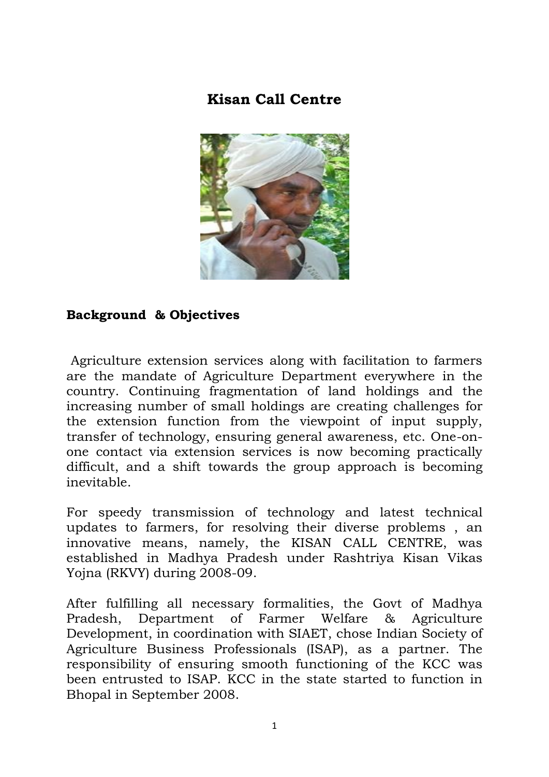# **Kisan Call Centre**



#### **Background & Objectives**

Agriculture extension services along with facilitation to farmers are the mandate of Agriculture Department everywhere in the country. Continuing fragmentation of land holdings and the increasing number of small holdings are creating challenges for the extension function from the viewpoint of input supply, transfer of technology, ensuring general awareness, etc. One-onone contact via extension services is now becoming practically difficult, and a shift towards the group approach is becoming inevitable.

For speedy transmission of technology and latest technical updates to farmers, for resolving their diverse problems , an innovative means, namely, the KISAN CALL CENTRE, was established in Madhya Pradesh under Rashtriya Kisan Vikas Yojna (RKVY) during 2008-09.

After fulfilling all necessary formalities, the Govt of Madhya Pradesh, Department of Farmer Welfare & Agriculture Development, in coordination with SIAET, chose Indian Society of Agriculture Business Professionals (ISAP), as a partner. The responsibility of ensuring smooth functioning of the KCC was been entrusted to ISAP. KCC in the state started to function in Bhopal in September 2008.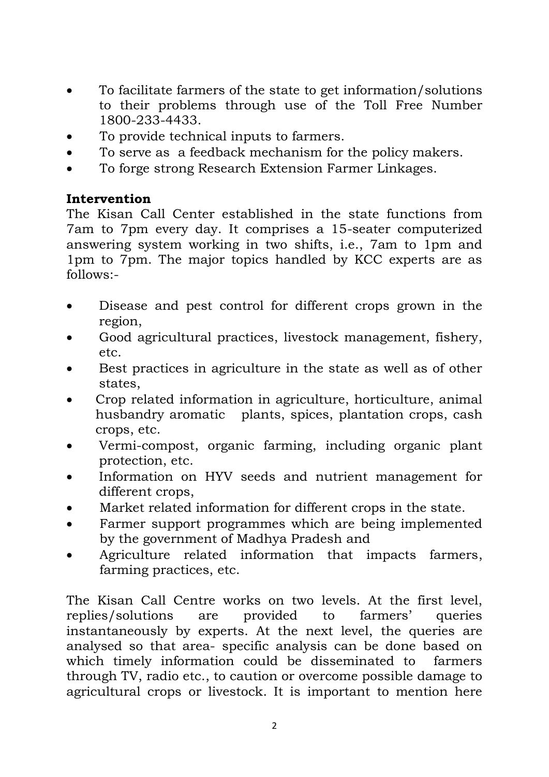- To facilitate farmers of the state to get information/solutions to their problems through use of the Toll Free Number 1800-233-4433.
- To provide technical inputs to farmers.
- To serve as a feedback mechanism for the policy makers.
- To forge strong Research Extension Farmer Linkages.

### **Intervention**

The Kisan Call Center established in the state functions from 7am to 7pm every day. It comprises a 15-seater computerized answering system working in two shifts, i.e., 7am to 1pm and 1pm to 7pm. The major topics handled by KCC experts are as follows:-

- Disease and pest control for different crops grown in the region,
- Good agricultural practices, livestock management, fishery, etc.
- Best practices in agriculture in the state as well as of other states,
- Crop related information in agriculture, horticulture, animal husbandry aromatic plants, spices, plantation crops, cash crops, etc.
- Vermi-compost, organic farming, including organic plant protection, etc.
- Information on HYV seeds and nutrient management for different crops,
- Market related information for different crops in the state.
- Farmer support programmes which are being implemented by the government of Madhya Pradesh and
- Agriculture related information that impacts farmers, farming practices, etc.

The Kisan Call Centre works on two levels. At the first level, replies/solutions are provided to farmers' queries instantaneously by experts. At the next level, the queries are analysed so that area- specific analysis can be done based on which timely information could be disseminated to farmers through TV, radio etc., to caution or overcome possible damage to agricultural crops or livestock. It is important to mention here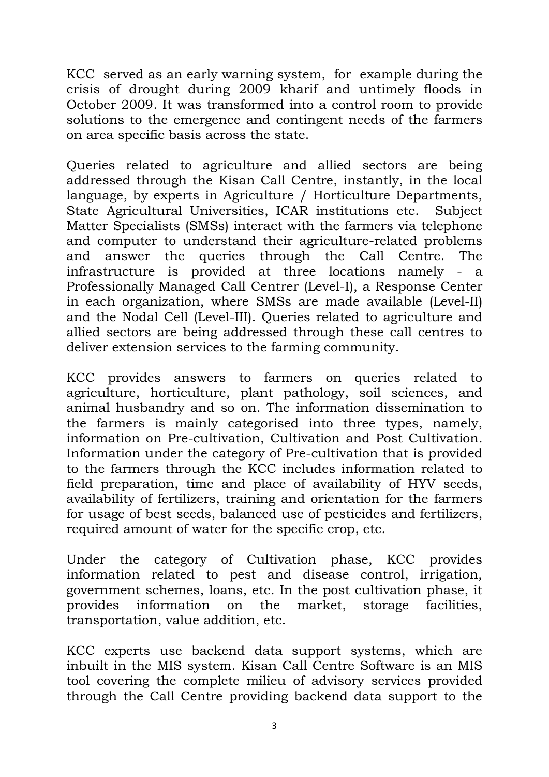KCC served as an early warning system, for example during the crisis of drought during 2009 kharif and untimely floods in October 2009. It was transformed into a control room to provide solutions to the emergence and contingent needs of the farmers on area specific basis across the state.

Queries related to agriculture and allied sectors are being addressed through the Kisan Call Centre, instantly, in the local language, by experts in Agriculture / Horticulture Departments, State Agricultural Universities, ICAR institutions etc. Subject Matter Specialists (SMSs) interact with the farmers via telephone and computer to understand their agriculture-related problems and answer the queries through the Call Centre. The infrastructure is provided at three locations namely - a Professionally Managed Call Centrer (Level-I), a Response Center in each organization, where SMSs are made available (Level-II) and the Nodal Cell (Level-III). Queries related to agriculture and allied sectors are being addressed through these call centres to deliver extension services to the farming community.

KCC provides answers to farmers on queries related to agriculture, horticulture, plant pathology, soil sciences, and animal husbandry and so on. The information dissemination to the farmers is mainly categorised into three types, namely, information on Pre-cultivation, Cultivation and Post Cultivation. Information under the category of Pre-cultivation that is provided to the farmers through the KCC includes information related to field preparation, time and place of availability of HYV seeds, availability of fertilizers, training and orientation for the farmers for usage of best seeds, balanced use of pesticides and fertilizers, required amount of water for the specific crop, etc.

Under the category of Cultivation phase, KCC provides information related to pest and disease control, irrigation, government schemes, loans, etc. In the post cultivation phase, it provides information on the market, storage facilities, transportation, value addition, etc.

KCC experts use backend data support systems, which are inbuilt in the MIS system. Kisan Call Centre Software is an MIS tool covering the complete milieu of advisory services provided through the Call Centre providing backend data support to the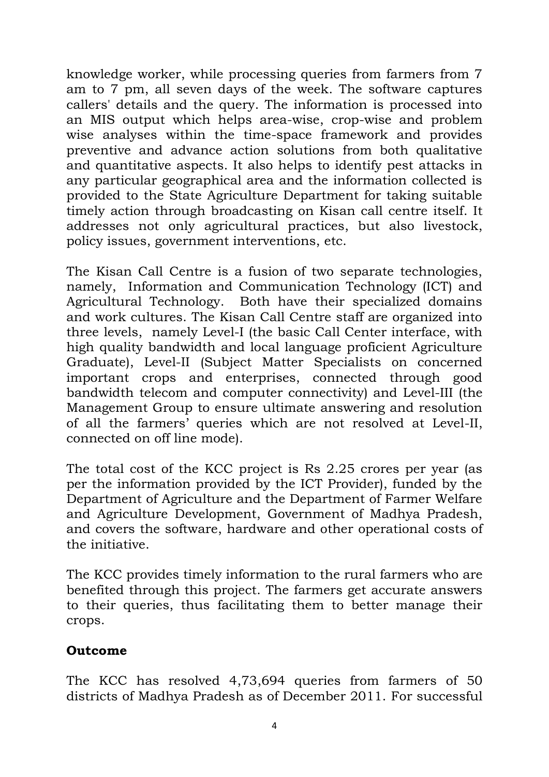knowledge worker, while processing queries from farmers from 7 am to 7 pm, all seven days of the week. The software captures callers' details and the query. The information is processed into an MIS output which helps area-wise, crop-wise and problem wise analyses within the time-space framework and provides preventive and advance action solutions from both qualitative and quantitative aspects. It also helps to identify pest attacks in any particular geographical area and the information collected is provided to the State Agriculture Department for taking suitable timely action through broadcasting on Kisan call centre itself. It addresses not only agricultural practices, but also livestock, policy issues, government interventions, etc.

The Kisan Call Centre is a fusion of two separate technologies, namely, Information and Communication Technology (ICT) and Agricultural Technology. Both have their specialized domains and work cultures. The Kisan Call Centre staff are organized into three levels, namely Level-I (the basic Call Center interface, with high quality bandwidth and local language proficient Agriculture Graduate), Level-II (Subject Matter Specialists on concerned important crops and enterprises, connected through good bandwidth telecom and computer connectivity) and Level-III (the Management Group to ensure ultimate answering and resolution of all the farmers' queries which are not resolved at Level-II, connected on off line mode).

The total cost of the KCC project is Rs 2.25 crores per year (as per the information provided by the ICT Provider), funded by the Department of Agriculture and the Department of Farmer Welfare and Agriculture Development, Government of Madhya Pradesh, and covers the software, hardware and other operational costs of the initiative.

The KCC provides timely information to the rural farmers who are benefited through this project. The farmers get accurate answers to their queries, thus facilitating them to better manage their crops.

# **Outcome**

The KCC has resolved 4,73,694 queries from farmers of 50 districts of Madhya Pradesh as of December 2011. For successful